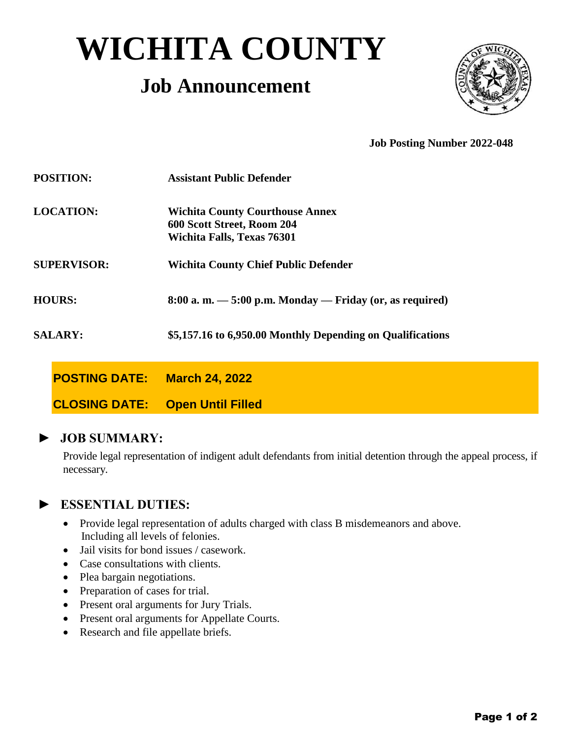# **WICHITA COUNTY**

# **Job Announcement**



**Job Posting Number 2022-048**

| <b>POSITION:</b>   |                      | <b>Assistant Public Defender</b>                                                                          |
|--------------------|----------------------|-----------------------------------------------------------------------------------------------------------|
| <b>LOCATION:</b>   |                      | <b>Wichita County Courthouse Annex</b><br>600 Scott Street, Room 204<br><b>Wichita Falls, Texas 76301</b> |
| <b>SUPERVISOR:</b> |                      | <b>Wichita County Chief Public Defender</b>                                                               |
| <b>HOURS:</b>      |                      | $8:00$ a.m. $-5:00$ p.m. Monday $-$ Friday (or, as required)                                              |
| <b>SALARY:</b>     |                      | \$5,157.16 to 6,950.00 Monthly Depending on Qualifications                                                |
|                    | <b>POSTING DATE:</b> | <b>March 24, 2022</b>                                                                                     |
|                    | <b>CLOSING DATE:</b> | <b>Open Until Filled</b>                                                                                  |

**► JOB SUMMARY:**

Provide legal representation of indigent adult defendants from initial detention through the appeal process, if necessary.

## **► ESSENTIAL DUTIES:**

- Provide legal representation of adults charged with class B misdemeanors and above. Including all levels of felonies.
- Jail visits for bond issues / casework.
- Case consultations with clients.
- Plea bargain negotiations.
- Preparation of cases for trial.
- Present oral arguments for Jury Trials.
- Present oral arguments for Appellate Courts.
- Research and file appellate briefs.